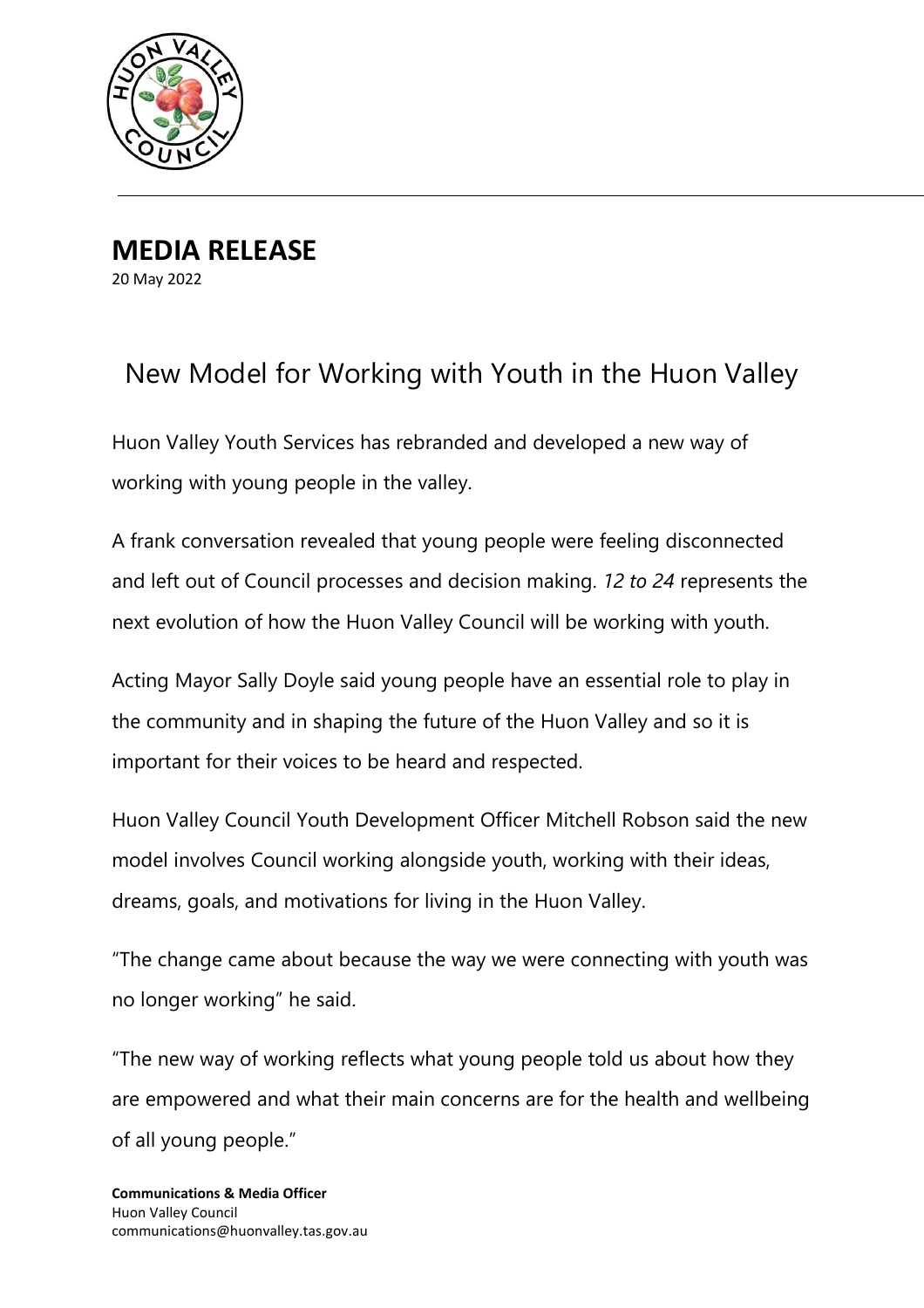

**MEDIA RELEASE** 20 May 2022

## New Model for Working with Youth in the Huon Valley

Huon Valley Youth Services has rebranded and developed a new way of working with young people in the valley.

A frank conversation revealed that young people were feeling disconnected and left out of Council processes and decision making. *12 to 24* represents the next evolution of how the Huon Valley Council will be working with youth.

Acting Mayor Sally Doyle said young people have an essential role to play in the community and in shaping the future of the Huon Valley and so it is important for their voices to be heard and respected.

Huon Valley Council Youth Development Officer Mitchell Robson said the new model involves Council working alongside youth, working with their ideas, dreams, goals, and motivations for living in the Huon Valley.

"The change came about because the way we were connecting with youth was no longer working" he said.

"The new way of working reflects what young people told us about how they are empowered and what their main concerns are for the health and wellbeing of all young people."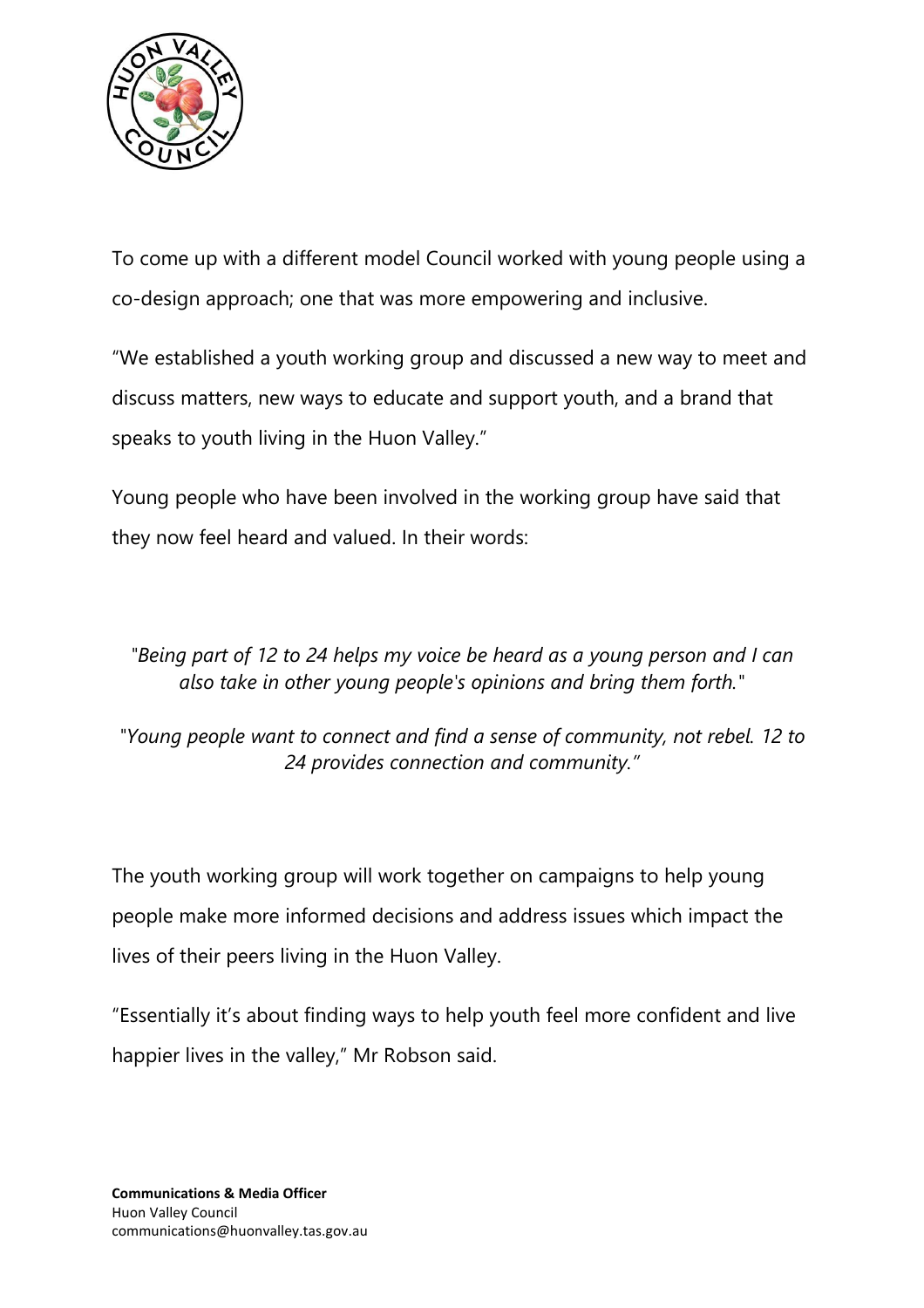

To come up with a different model Council worked with young people using a co-design approach; one that was more empowering and inclusive.

"We established a youth working group and discussed a new way to meet and discuss matters, new ways to educate and support youth, and a brand that speaks to youth living in the Huon Valley."

Young people who have been involved in the working group have said that they now feel heard and valued. In their words:

*"Being part of 12 to 24 helps my voice be heard as a young person and I can also take in other young people's opinions and bring them forth."*

*"Young people want to connect and find a sense of community, not rebel. 12 to 24 provides connection and community."*

The youth working group will work together on campaigns to help young people make more informed decisions and address issues which impact the lives of their peers living in the Huon Valley.

"Essentially it's about finding ways to help youth feel more confident and live happier lives in the valley," Mr Robson said.